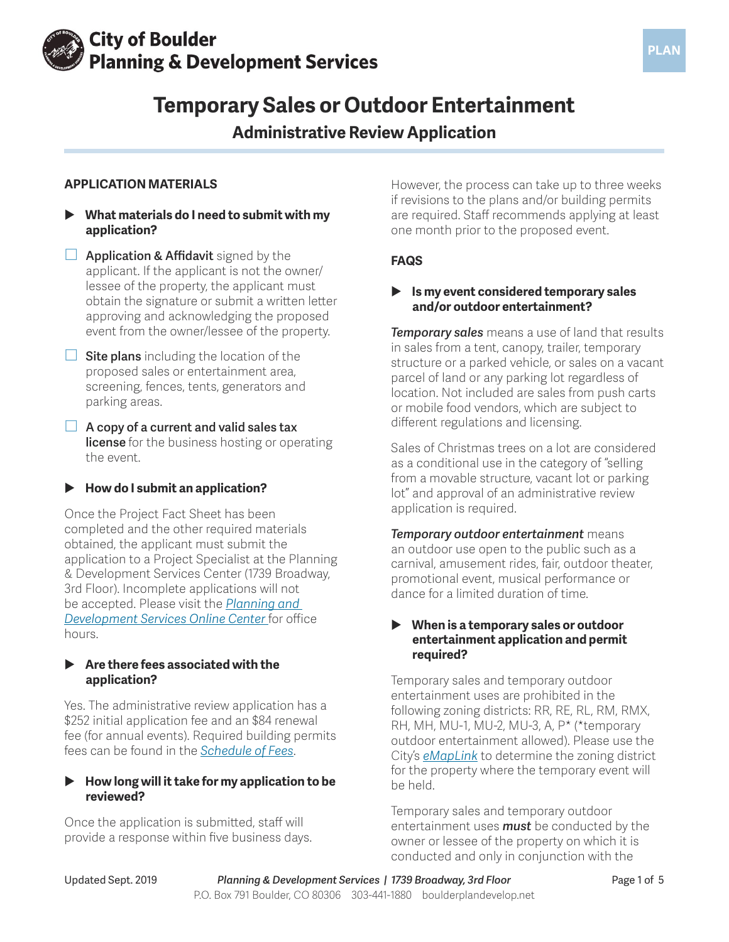

# **Temporary Sales or Outdoor Entertainment**

## **Administrative Review Application**

## **APPLICATION MATERIALS**

- X **What materials do I need to submit with my application?**
- **Application & Affidavit** signed by the applicant. If the applicant is not the owner/ lessee of the property, the applicant must obtain the signature or submit a written letter approving and acknowledging the proposed event from the owner/lessee of the property.
- **Site plans** including the location of the proposed sales or entertainment area, screening, fences, tents, generators and parking areas.
- **A copy of a current and valid sales tax license** for the business hosting or operating the event.

## ▶ How do I submit an application?

Once the Project Fact Sheet has been completed and the other required materials obtained, the applicant must submit the application to a Project Specialist at the Planning & Development Services Center (1739 Broadway, 3rd Floor). Incomplete applications will not be accepted. Please visit the *[Planning and](https://bouldercolorado.gov/plan-develop)  [Development Services Online Center](https://bouldercolorado.gov/plan-develop)* for office hours.

## ▶ Are there fees associated with the **application?**

Yes. The administrative review application has a \$252 initial application fee and an \$84 renewal fee (for annual events). Required building permits fees can be found in the *[Schedule of Fees](https://bouldercolorado.gov/plan-develop/applications)*.

## **How long will it take for my application to be reviewed?**

Once the application is submitted, staff will provide a response within five business days. However, the process can take up to three weeks if revisions to the plans and/or building permits are required. Staff recommends applying at least one month prior to the proposed event.

## **FAQS**

## X **Is my event considered temporary sales and/or outdoor entertainment?**

*Temporary sales* means a use of land that results in sales from a tent, canopy, trailer, temporary structure or a parked vehicle, or sales on a vacant parcel of land or any parking lot regardless of location. Not included are sales from push carts or mobile food vendors, which are subject to different regulations and licensing.

Sales of Christmas trees on a lot are considered as a conditional use in the category of "selling from a movable structure, vacant lot or parking lot" and approval of an administrative review application is required.

*Temporary outdoor entertainment* means an outdoor use open to the public such as a carnival, amusement rides, fair, outdoor theater, promotional event, musical performance or dance for a limited duration of time.

## X **When is a temporary sales or outdoor entertainment application and permit required?**

Temporary sales and temporary outdoor entertainment uses are prohibited in the following zoning districts: RR, RE, RL, RM, RMX, RH, MH, MU-1, MU-2, MU-3, A, P\* (\*temporary outdoor entertainment allowed). Please use the City's *[eMapLink](https://maps.bouldercolorado.gov/emaplink/?_ga=2.98782238.1283601839.1563810436-770750547.1524584594)* to determine the zoning district for the property where the temporary event will be held.

Temporary sales and temporary outdoor entertainment uses *must* be conducted by the owner or lessee of the property on which it is conducted and only in conjunction with the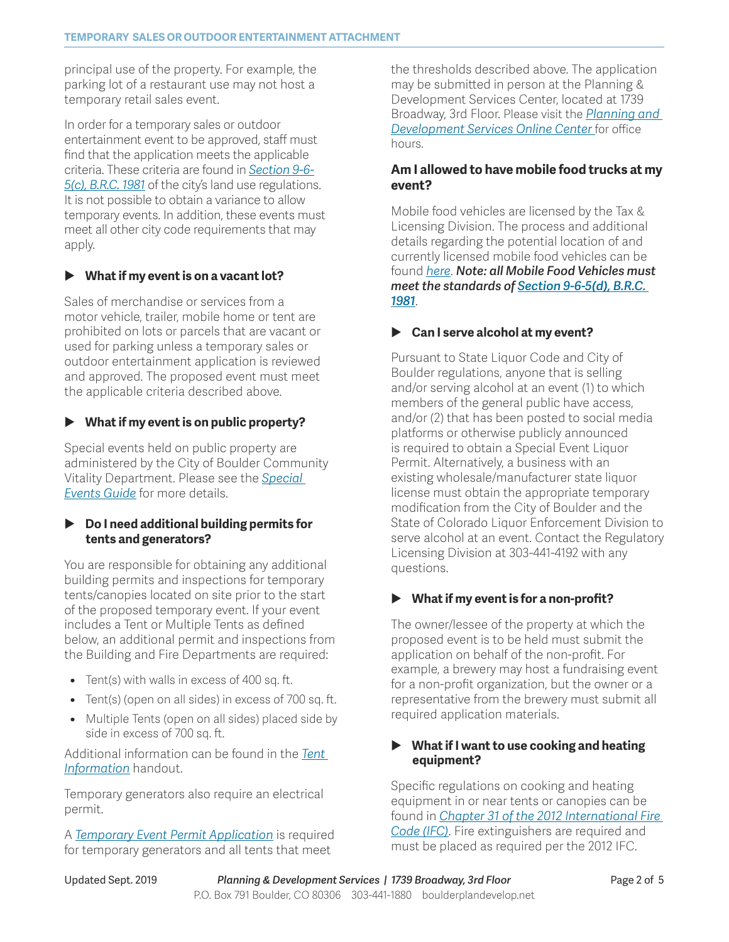principal use of the property. For example, the parking lot of a restaurant use may not host a temporary retail sales event.

In order for a temporary sales or outdoor entertainment event to be approved, staff must find that the application meets the applicable criteria. These criteria are found in *[Section 9-6-](https://library.municode.com/co/boulder/codes/municipal_code?nodeId=TIT9LAUSCO_CH6USST_9-6-5TELODIENCUUS) [5\(c\), B.R.C. 1981](https://library.municode.com/co/boulder/codes/municipal_code?nodeId=TIT9LAUSCO_CH6USST_9-6-5TELODIENCUUS)* of the city's land use regulations. It is not possible to obtain a variance to allow temporary events. In addition, these events must meet all other city code requirements that may apply.

## X **What if my event is on a vacant lot?**

Sales of merchandise or services from a motor vehicle, trailer, mobile home or tent are prohibited on lots or parcels that are vacant or used for parking unless a temporary sales or outdoor entertainment application is reviewed and approved. The proposed event must meet the applicable criteria described above.

## X **What if my event is on public property?**

Special events held on public property are administered by the City of Boulder Community Vitality Department. Please see the *[Special](https://www-static.bouldercolorado.gov/docs/Special_Event_Guide_v6.0-1-201903181634.pdf?_ga=2.12774391.1703758830.1563381858-1760905037.1536176706)  [Events Guide](https://www-static.bouldercolorado.gov/docs/Special_Event_Guide_v6.0-1-201903181634.pdf?_ga=2.12774391.1703758830.1563381858-1760905037.1536176706)* for more details.

## ▶ **Do I need additional building permits for tents and generators?**

You are responsible for obtaining any additional building permits and inspections for temporary tents/canopies located on site prior to the start of the proposed temporary event. If your event includes a Tent or Multiple Tents as defined below, an additional permit and inspections from the Building and Fire Departments are required:

- **•** Tent(s) with walls in excess of 400 sq. ft.
- **•** Tent(s) (open on all sides) in excess of 700 sq. ft.
- **•** Multiple Tents (open on all sides) placed side by side in excess of 700 sq. ft.

Additional information can be found in the *[Tent](https://www-static.bouldercolorado.gov/docs/2019_Tent_Information_for_Special_Events-1-201903120826.pdf?_ga=2.123040011.1856127581.1565019414-1286916132.1522180462)  [Information](https://www-static.bouldercolorado.gov/docs/2019_Tent_Information_for_Special_Events-1-201903120826.pdf?_ga=2.123040011.1856127581.1565019414-1286916132.1522180462)* handout.

Temporary generators also require an electrical permit.

A *[Temporary Event Permit Application](https://www-static.bouldercolorado.gov/docs/PDS/forms/temporary-event-pmt-app.pdf?_ga=2.156676411.1856127581.1565019414-1286916132.1522180462)* is required for temporary generators and all tents that meet

the thresholds described above. The application may be submitted in person at the Planning & Development Services Center, located at 1739 Broadway, 3rd Floor. Please visit the *[Planning and](https://bouldercolorado.gov/plan-develop)  [Development Services Online Center](https://bouldercolorado.gov/plan-develop)* for office hours.

## **Am I allowed to have mobile food trucks at my event?**

Mobile food vehicles are licensed by the Tax & Licensing Division. The process and additional details regarding the potential location of and currently licensed mobile food vehicles can be found *[here](https://bouldercolorado.gov/tax-license/mobile-food-vehicles)*. *Note: all Mobile Food Vehicles must meet the standards of [Section 9-6-5\(d\), B.R.C.](https://library.municode.com/co/boulder/codes/municipal_code?nodeId=TIT9LAUSCO_CH6USST_9-6-5TELODIENCUUS)  [1981](https://library.municode.com/co/boulder/codes/municipal_code?nodeId=TIT9LAUSCO_CH6USST_9-6-5TELODIENCUUS)*.

## ▶ Can I serve alcohol at my event?

Pursuant to State Liquor Code and City of Boulder regulations, anyone that is selling and/or serving alcohol at an event (1) to which members of the general public have access, and/or (2) that has been posted to social media platforms or otherwise publicly announced is required to obtain a Special Event Liquor Permit. Alternatively, a business with an existing wholesale/manufacturer state liquor license must obtain the appropriate temporary modification from the City of Boulder and the State of Colorado Liquor Enforcement Division to serve alcohol at an event. Contact the Regulatory Licensing Division at 303-441-4192 with any questions.

## ▶ What if my event is for a non-profit?

The owner/lessee of the property at which the proposed event is to be held must submit the application on behalf of the non-profit. For example, a brewery may host a fundraising event for a non-profit organization, but the owner or a representative from the brewery must submit all required application materials.

## X **What if I want to use cooking and heating equipment?**

Specific regulations on cooking and heating equipment in or near tents or canopies can be found in *[Chapter 31 of the 2012 International Fire](https://codes.iccsafe.org/content/IFC2012/chapter-31-tents-and-other-membrane-structures?site_type=public)  [Code \(IFC\)](https://codes.iccsafe.org/content/IFC2012/chapter-31-tents-and-other-membrane-structures?site_type=public)*. Fire extinguishers are required and must be placed as required per the 2012 IFC.

Updated Sept. 2019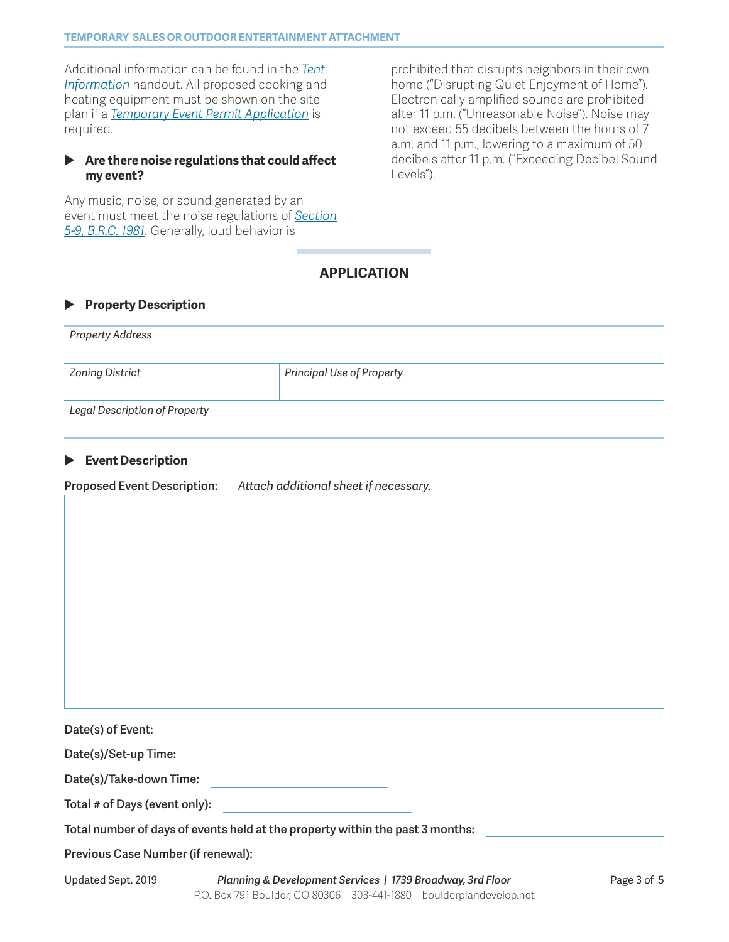Additional information can be found in the *[Tent](https://www-static.bouldercolorado.gov/docs/2019_Tent_Information_for_Special_Events-1-201903120826.pdf?_ga=2.123040011.1856127581.1565019414-1286916132.1522180462)  [Information](https://www-static.bouldercolorado.gov/docs/2019_Tent_Information_for_Special_Events-1-201903120826.pdf?_ga=2.123040011.1856127581.1565019414-1286916132.1522180462)* handout. All proposed cooking and heating equipment must be shown on the site plan if a *[Temporary Event Permit Application](https://www-static.bouldercolorado.gov/docs/PDS/forms/temporary-event-pmt-app.pdf?_ga=2.156676411.1856127581.1565019414-1286916132.1522180462)* is required.

#### X **Are there noise regulations that could affect my event?**

Any music, noise, or sound generated by an event must meet the noise regulations of *[Section](https://library.municode.com/co/boulder/codes/municipal_code?nodeId=TIT5GEOF_CH9NO)  [5-9, B.R.C. 1981](https://library.municode.com/co/boulder/codes/municipal_code?nodeId=TIT5GEOF_CH9NO)*. Generally, loud behavior is

prohibited that disrupts neighbors in their own home ("Disrupting Quiet Enjoyment of Home"). Electronically amplified sounds are prohibited after 11 p.m. ("Unreasonable Noise"). Noise may not exceed 55 decibels between the hours of 7 a.m. and 11 p.m., lowering to a maximum of 50 decibels after 11 p.m. ("Exceeding Decibel Sound Levels").

## **APPLICATION**

#### **Property Description**

| <b>Property Address</b>              |                                  |
|--------------------------------------|----------------------------------|
| Zoning District                      | <b>Principal Use of Property</b> |
| <b>Legal Description of Property</b> |                                  |

#### X **Event Description**

**Proposed Event Description:** *Attach additional sheet if necessary.*

**Date(s) of Event:** 

**Date(s)/Set-up Time:** 

**Date(s)/Take-down Time:** 

**Total # of Days (event only):** 

**Total number of days of events held at the property within the past 3 months:** 

**Previous Case Number (if renewal):**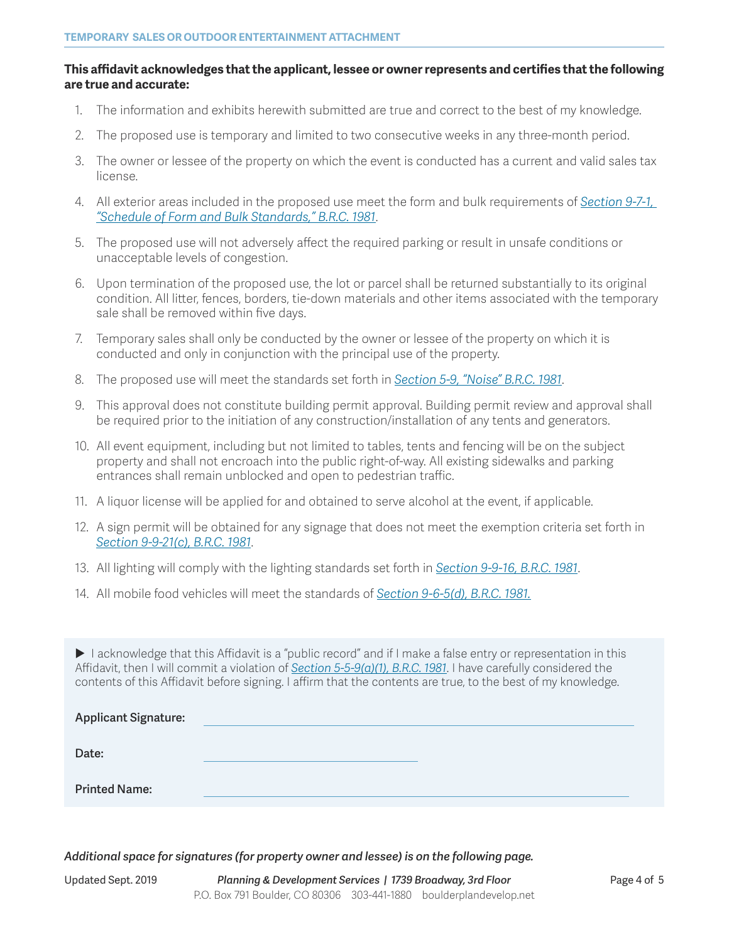#### **This affidavit acknowledges that the applicant, lessee or owner represents and certifies that the following are true and accurate:**

- 1. The information and exhibits herewith submitted are true and correct to the best of my knowledge.
- 2. The proposed use is temporary and limited to two consecutive weeks in any three-month period.
- 3. The owner or lessee of the property on which the event is conducted has a current and valid sales tax license.
- 4. All exterior areas included in the proposed use meet the form and bulk requirements of *[Section 9-7-1,](https://library.municode.com/co/boulder/codes/municipal_code?nodeId=TIT9LAUSCO_CH7FOBUST_9-7-1SCFOBUST)  ["Schedule of Form and Bulk Standards," B.R.C. 1981](https://library.municode.com/co/boulder/codes/municipal_code?nodeId=TIT9LAUSCO_CH7FOBUST_9-7-1SCFOBUST)*.
- 5. The proposed use will not adversely affect the required parking or result in unsafe conditions or unacceptable levels of congestion.
- 6. Upon termination of the proposed use, the lot or parcel shall be returned substantially to its original condition. All litter, fences, borders, tie-down materials and other items associated with the temporary sale shall be removed within five days.
- 7. Temporary sales shall only be conducted by the owner or lessee of the property on which it is conducted and only in conjunction with the principal use of the property.
- 8. The proposed use will meet the standards set forth in *[Section 5-9, "Noise" B.R.C. 1981](https://library.municode.com/co/boulder/codes/municipal_code?nodeId=TIT5GEOF_CH9NO)*.
- 9. This approval does not constitute building permit approval. Building permit review and approval shall be required prior to the initiation of any construction/installation of any tents and generators.
- 10. All event equipment, including but not limited to tables, tents and fencing will be on the subject property and shall not encroach into the public right-of-way. All existing sidewalks and parking entrances shall remain unblocked and open to pedestrian traffic.
- 11. A liquor license will be applied for and obtained to serve alcohol at the event, if applicable.
- 12. A sign permit will be obtained for any signage that does not meet the exemption criteria set forth in *[Section 9-9-21\(c\), B.R.C. 1981](https://library.municode.com/co/boulder/codes/municipal_code?nodeId=TIT9LAUSCO_CH9DEST_9-9-21SI)*.
- 13. All lighting will comply with the lighting standards set forth in *[Section 9-9-16, B.R.C. 1981](https://library.municode.com/co/boulder/codes/municipal_code?nodeId=TIT9LAUSCO_CH9DEST_9-9-16LIOU)*.
- 14. All mobile food vehicles will meet the standards of *[Section 9-6-5\(d\), B.R.C. 1981.](https://library.municode.com/co/boulder/codes/municipal_code?nodeId=TIT9LAUSCO_CH6USST_9-6-5TELODIENCUUS)*

I acknowledge that this Affidavit is a "public record" and if I make a false entry or representation in this Affidavit, then I will commit a violation of *[Section 5-5-9\(a\)\(1\), B.R.C. 1981](https://library.municode.com/co/boulder/codes/municipal_code?nodeId=TIT5GEOF_CH5OFAGGOOP_5-5-9ABPURE)*. I have carefully considered the contents of this Affidavit before signing. I affirm that the contents are true, to the best of my knowledge.

| <b>Applicant Signature:</b> |  |
|-----------------------------|--|
| Date:                       |  |
| <b>Printed Name:</b>        |  |

*Additional space for signatures (for property owner and lessee) is on the following page.*

Updated Sept. 2019